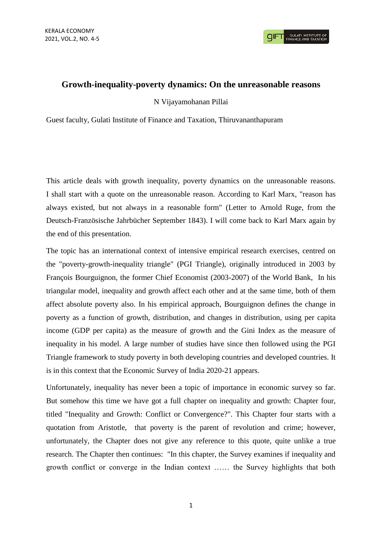## **Growth-inequality-poverty dynamics: On the unreasonable reasons**

N Vijayamohanan Pillai

Guest faculty, Gulati Institute of Finance and Taxation, Thiruvananthapuram

This article deals with growth inequality, poverty dynamics on the unreasonable reasons. I shall start with a quote on the unreasonable reason. According to Karl Marx, "reason has always existed, but not always in a reasonable form" (Letter to Arnold Ruge, from the Deutsch-Französische Jahrbücher September 1843). I will come back to Karl Marx again by the end of this presentation.

The topic has an international context of intensive empirical research exercises, centred on the "poverty-growth-inequality triangle" (PGI Triangle), originally introduced in 2003 by François Bourguignon, the former Chief Economist (2003-2007) of the World Bank, In his triangular model, inequality and growth affect each other and at the same time, both of them affect absolute poverty also. In his empirical approach, Bourguignon defines the change in poverty as a function of growth, distribution, and changes in distribution, using per capita income (GDP per capita) as the measure of growth and the Gini Index as the measure of inequality in his model. A large number of studies have since then followed using the PGI Triangle framework to study poverty in both developing countries and developed countries. It is in this context that the Economic Survey of India 2020-21 appears.

Unfortunately, inequality has never been a topic of importance in economic survey so far. But somehow this time we have got a full chapter on inequality and growth: Chapter four, titled "Inequality and Growth: Conflict or Convergence?". This Chapter four starts with a quotation from Aristotle, that poverty is the parent of revolution and crime; however, unfortunately, the Chapter does not give any reference to this quote, quite unlike a true research. The Chapter then continues: "In this chapter, the Survey examines if inequality and growth conflict or converge in the Indian context …… the Survey highlights that both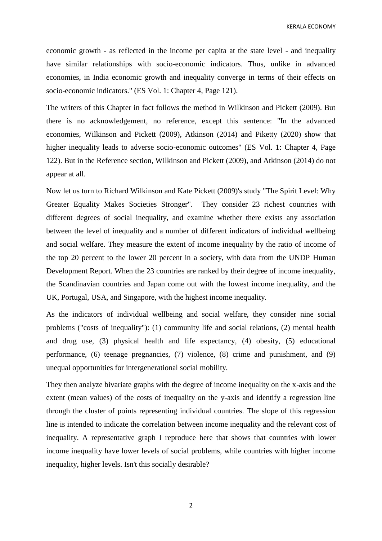KERALA ECONOMY

economic growth - as reflected in the income per capita at the state level - and inequality have similar relationships with socio-economic indicators. Thus, unlike in advanced economies, in India economic growth and inequality converge in terms of their effects on socio-economic indicators." (ES Vol. 1: Chapter 4, Page 121).

The writers of this Chapter in fact follows the method in Wilkinson and Pickett (2009). But there is no acknowledgement, no reference, except this sentence: "In the advanced economies, Wilkinson and Pickett (2009), Atkinson (2014) and Piketty (2020) show that higher inequality leads to adverse socio-economic outcomes" (ES Vol. 1: Chapter 4, Page 122). But in the Reference section, Wilkinson and Pickett (2009), and Atkinson (2014) do not appear at all.

Now let us turn to Richard Wilkinson and Kate Pickett (2009)'s study "The Spirit Level: Why Greater Equality Makes Societies Stronger". They consider 23 richest countries with different degrees of social inequality, and examine whether there exists any association between the level of inequality and a number of different indicators of individual wellbeing and social welfare. They measure the extent of income inequality by the ratio of income of the top 20 percent to the lower 20 percent in a society, with data from the UNDP Human Development Report. When the 23 countries are ranked by their degree of income inequality, the Scandinavian countries and Japan come out with the lowest income inequality, and the UK, Portugal, USA, and Singapore, with the highest income inequality.

As the indicators of individual wellbeing and social welfare, they consider nine social problems ("costs of inequality"): (1) community life and social relations, (2) mental health and drug use, (3) physical health and life expectancy, (4) obesity, (5) educational performance, (6) teenage pregnancies, (7) violence, (8) crime and punishment, and (9) unequal opportunities for intergenerational social mobility.

They then analyze bivariate graphs with the degree of income inequality on the x-axis and the extent (mean values) of the costs of inequality on the y-axis and identify a regression line through the cluster of points representing individual countries. The slope of this regression line is intended to indicate the correlation between income inequality and the relevant cost of inequality. A representative graph I reproduce here that shows that countries with lower income inequality have lower levels of social problems, while countries with higher income inequality, higher levels. Isn't this socially desirable?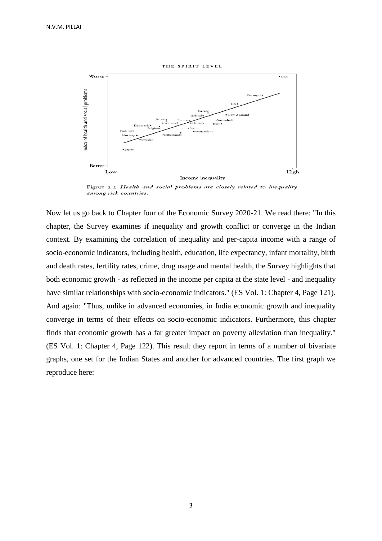THE SPIRIT LEVEL



Figure 2.2 Health and social problems are closely related to inequality among rich countries.

Now let us go back to Chapter four of the Economic Survey 2020-21. We read there: "In this chapter, the Survey examines if inequality and growth conflict or converge in the Indian context. By examining the correlation of inequality and per-capita income with a range of socio-economic indicators, including health, education, life expectancy, infant mortality, birth and death rates, fertility rates, crime, drug usage and mental health, the Survey highlights that both economic growth - as reflected in the income per capita at the state level - and inequality have similar relationships with socio-economic indicators." (ES Vol. 1: Chapter 4, Page 121). And again: "Thus, unlike in advanced economies, in India economic growth and inequality converge in terms of their effects on socio-economic indicators. Furthermore, this chapter finds that economic growth has a far greater impact on poverty alleviation than inequality." (ES Vol. 1: Chapter 4, Page 122). This result they report in terms of a number of bivariate graphs, one set for the Indian States and another for advanced countries. The first graph we reproduce here: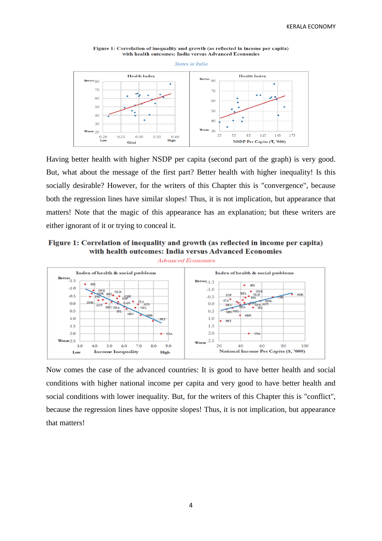

Figure 1: Correlation of inequality and growth (as reflected in income per capita) with health outcomes: India versus Advanced Economies

Having better health with higher NSDP per capita (second part of the graph) is very good. But, what about the message of the first part? Better health with higher inequality! Is this socially desirable? However, for the writers of this Chapter this is "convergence", because both the regression lines have similar slopes! Thus, it is not implication, but appearance that matters! Note that the magic of this appearance has an explanation; but these writers are either ignorant of it or trying to conceal it.





Now comes the case of the advanced countries: It is good to have better health and social conditions with higher national income per capita and very good to have better health and social conditions with lower inequality. But, for the writers of this Chapter this is "conflict", because the regression lines have opposite slopes! Thus, it is not implication, but appearance that matters!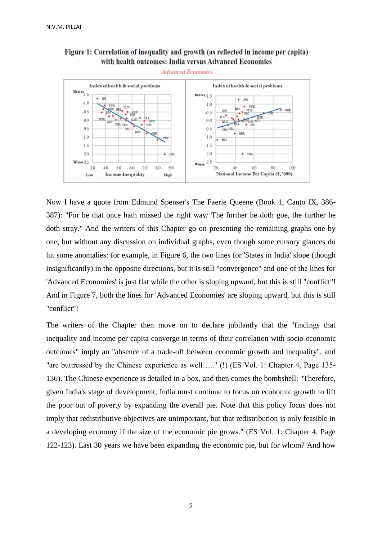



Now I have a quote from Edmund Spenser's The Faerie Queene (Book 1, Canto IX, 386- 387): "For he that once hath missed the right way/ The further he doth goe, the further he doth stray." And the writers of this Chapter go on presenting the remaining graphs one by one, but without any discussion on individual graphs, even though some cursory glances do hit some anomalies: for example, in Figure 6, the two lines for 'States in India' slope (though insignificantly) in the opposite directions, but it is still "convergence" and one of the lines for 'Advanced Economies' is just flat while the other is sloping upward, but this is still "conflict"! And in Figure 7, both the lines for 'Advanced Economies' are sloping upward, but this is still "conflict"!

The writers of the Chapter then move on to declare jubilantly that the "findings that inequality and income per capita converge in terms of their correlation with socio-economic outcomes" imply an "absence of a trade-off between economic growth and inequality", and "are buttressed by the Chinese experience as well….." (!) (ES Vol. 1: Chapter 4, Page 135- 136). The Chinese experience is detailed in a box, and then comes the bombshell: "Therefore, given India's stage of development, India must continue to focus on economic growth to lift the poor out of poverty by expanding the overall pie. Note that this policy focus does not imply that redistributive objectives are unimportant, but that redistribution is only feasible in a developing economy if the size of the economic pie grows." (ES Vol. 1: Chapter 4, Page 122-123). Last 30 years we have been expanding the economic pie, but for whom? And how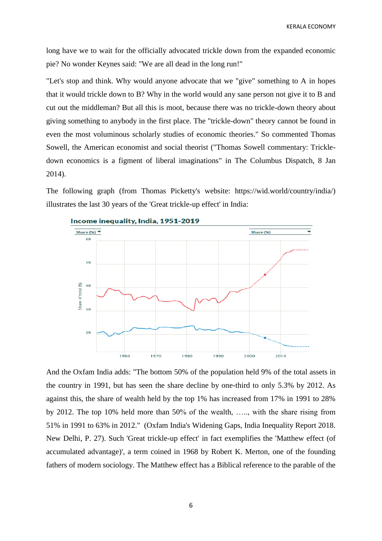KERALA ECONOMY

long have we to wait for the officially advocated trickle down from the expanded economic pie? No wonder Keynes said: "We are all dead in the long run!"

"Let's stop and think. Why would anyone advocate that we "give" something to A in hopes that it would trickle down to B? Why in the world would any sane person not give it to B and cut out the middleman? But all this is moot, because there was no trickle-down theory about giving something to anybody in the first place. The "trickle-down" theory cannot be found in even the most voluminous scholarly studies of economic theories." So commented Thomas Sowell, the American economist and social theorist ("Thomas Sowell commentary: Trickledown economics is a figment of liberal imaginations" in The Columbus Dispatch, 8 Jan 2014).

The following graph (from Thomas Picketty's website: https://wid.world/country/india/) illustrates the last 30 years of the 'Great trickle-up effect' in India:



And the Oxfam India adds: "The bottom 50% of the population held 9% of the total assets in the country in 1991, but has seen the share decline by one-third to only 5.3% by 2012. As against this, the share of wealth held by the top 1% has increased from 17% in 1991 to 28% by 2012. The top 10% held more than 50% of the wealth, ….., with the share rising from 51% in 1991 to 63% in 2012." (Oxfam India's Widening Gaps, India Inequality Report 2018. New Delhi, P. 27). Such 'Great trickle-up effect' in fact exemplifies the 'Matthew effect (of accumulated advantage)', a term coined in 1968 by Robert K. Merton, one of the founding fathers of modern sociology. The Matthew effect has a Biblical reference to the parable of the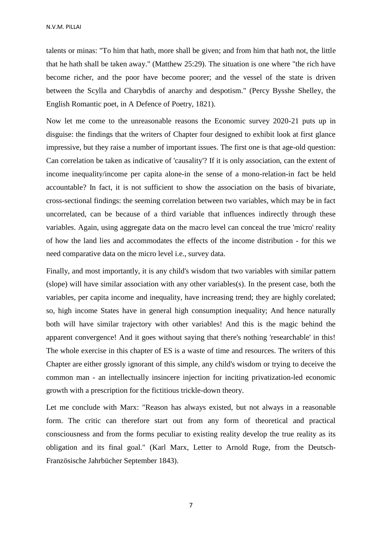talents or minas: "To him that hath, more shall be given; and from him that hath not, the little that he hath shall be taken away." (Matthew 25:29). The situation is one where "the rich have become richer, and the poor have become poorer; and the vessel of the state is driven between the Scylla and Charybdis of anarchy and despotism." (Percy Bysshe Shelley, the English Romantic poet, in A Defence of Poetry, 1821).

Now let me come to the unreasonable reasons the Economic survey 2020-21 puts up in disguise: the findings that the writers of Chapter four designed to exhibit look at first glance impressive, but they raise a number of important issues. The first one is that age-old question: Can correlation be taken as indicative of 'causality'? If it is only association, can the extent of income inequality/income per capita alone-in the sense of a mono-relation-in fact be held accountable? In fact, it is not sufficient to show the association on the basis of bivariate, cross-sectional findings: the seeming correlation between two variables, which may be in fact uncorrelated, can be because of a third variable that influences indirectly through these variables. Again, using aggregate data on the macro level can conceal the true 'micro' reality of how the land lies and accommodates the effects of the income distribution - for this we need comparative data on the micro level i.e., survey data.

Finally, and most importantly, it is any child's wisdom that two variables with similar pattern (slope) will have similar association with any other variables(s). In the present case, both the variables, per capita income and inequality, have increasing trend; they are highly corelated; so, high income States have in general high consumption inequality; And hence naturally both will have similar trajectory with other variables! And this is the magic behind the apparent convergence! And it goes without saying that there's nothing 'researchable' in this! The whole exercise in this chapter of ES is a waste of time and resources. The writers of this Chapter are either grossly ignorant of this simple, any child's wisdom or trying to deceive the common man - an intellectually insincere injection for inciting privatization-led economic growth with a prescription for the fictitious trickle-down theory.

Let me conclude with Marx: "Reason has always existed, but not always in a reasonable form. The critic can therefore start out from any form of theoretical and practical consciousness and from the forms peculiar to existing reality develop the true reality as its obligation and its final goal." (Karl Marx, Letter to Arnold Ruge, from the Deutsch-Französische Jahrbücher September 1843).